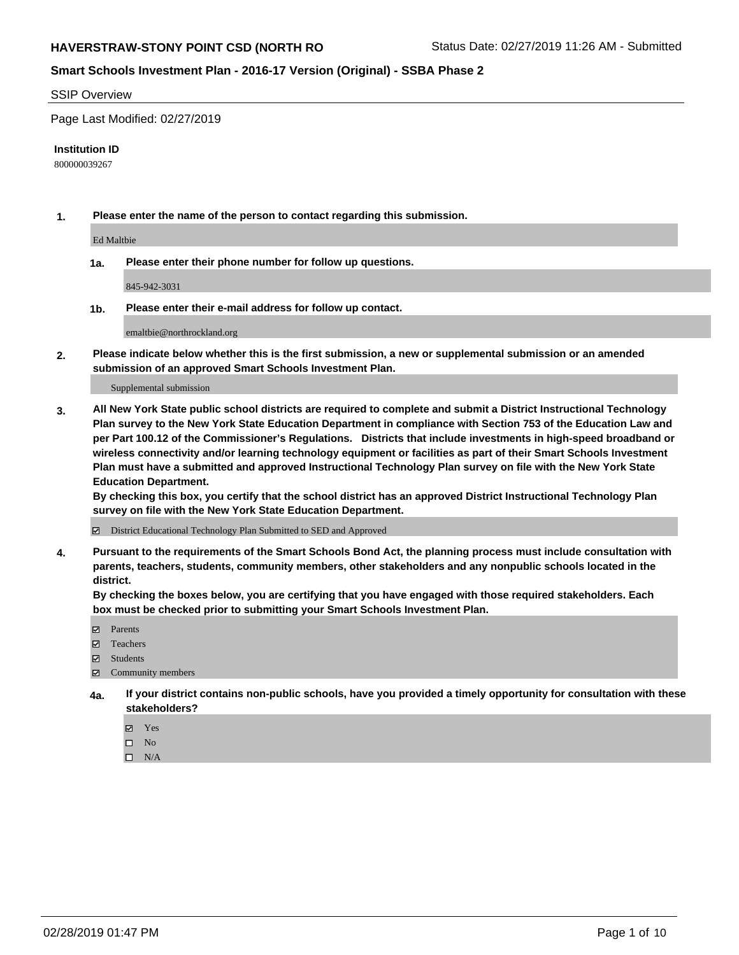### **Smart Schools Investment Plan - 2016-17 Version (Original) - SSBA Phase 2**

#### SSIP Overview

Page Last Modified: 02/27/2019

#### **Institution ID**

800000039267

**1. Please enter the name of the person to contact regarding this submission.**

Ed Maltbie

**1a. Please enter their phone number for follow up questions.**

845-942-3031

**1b. Please enter their e-mail address for follow up contact.**

emaltbie@northrockland.org

**2. Please indicate below whether this is the first submission, a new or supplemental submission or an amended submission of an approved Smart Schools Investment Plan.**

Supplemental submission

**3. All New York State public school districts are required to complete and submit a District Instructional Technology Plan survey to the New York State Education Department in compliance with Section 753 of the Education Law and per Part 100.12 of the Commissioner's Regulations. Districts that include investments in high-speed broadband or wireless connectivity and/or learning technology equipment or facilities as part of their Smart Schools Investment Plan must have a submitted and approved Instructional Technology Plan survey on file with the New York State Education Department.** 

**By checking this box, you certify that the school district has an approved District Instructional Technology Plan survey on file with the New York State Education Department.**

District Educational Technology Plan Submitted to SED and Approved

**4. Pursuant to the requirements of the Smart Schools Bond Act, the planning process must include consultation with parents, teachers, students, community members, other stakeholders and any nonpublic schools located in the district.** 

**By checking the boxes below, you are certifying that you have engaged with those required stakeholders. Each box must be checked prior to submitting your Smart Schools Investment Plan.**

- **□** Parents
- Teachers
- Students
- $\boxtimes$  Community members
- **4a. If your district contains non-public schools, have you provided a timely opportunity for consultation with these stakeholders?**
	- **冈** Yes
	- $\qquad \qquad$  No
	- $\square$  N/A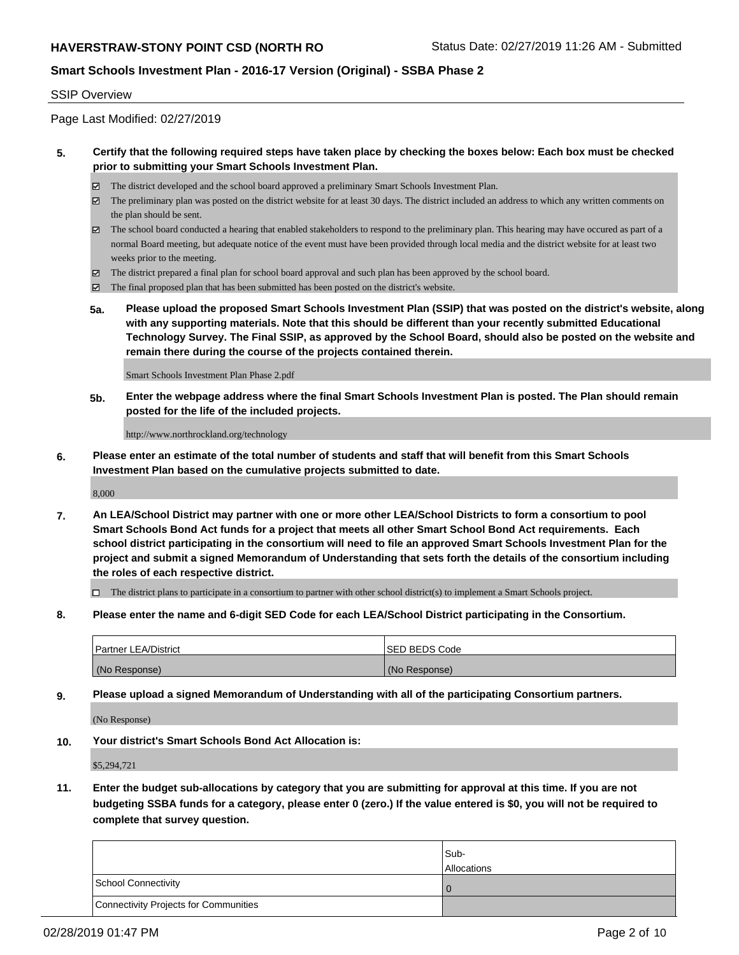## **Smart Schools Investment Plan - 2016-17 Version (Original) - SSBA Phase 2**

#### SSIP Overview

Page Last Modified: 02/27/2019

### **5. Certify that the following required steps have taken place by checking the boxes below: Each box must be checked prior to submitting your Smart Schools Investment Plan.**

- The district developed and the school board approved a preliminary Smart Schools Investment Plan.
- $\boxtimes$  The preliminary plan was posted on the district website for at least 30 days. The district included an address to which any written comments on the plan should be sent.
- $\boxtimes$  The school board conducted a hearing that enabled stakeholders to respond to the preliminary plan. This hearing may have occured as part of a normal Board meeting, but adequate notice of the event must have been provided through local media and the district website for at least two weeks prior to the meeting.
- The district prepared a final plan for school board approval and such plan has been approved by the school board.
- $\boxtimes$  The final proposed plan that has been submitted has been posted on the district's website.
- **5a. Please upload the proposed Smart Schools Investment Plan (SSIP) that was posted on the district's website, along with any supporting materials. Note that this should be different than your recently submitted Educational Technology Survey. The Final SSIP, as approved by the School Board, should also be posted on the website and remain there during the course of the projects contained therein.**

Smart Schools Investment Plan Phase 2.pdf

**5b. Enter the webpage address where the final Smart Schools Investment Plan is posted. The Plan should remain posted for the life of the included projects.**

http://www.northrockland.org/technology

**6. Please enter an estimate of the total number of students and staff that will benefit from this Smart Schools Investment Plan based on the cumulative projects submitted to date.**

8,000

**7. An LEA/School District may partner with one or more other LEA/School Districts to form a consortium to pool Smart Schools Bond Act funds for a project that meets all other Smart School Bond Act requirements. Each school district participating in the consortium will need to file an approved Smart Schools Investment Plan for the project and submit a signed Memorandum of Understanding that sets forth the details of the consortium including the roles of each respective district.**

 $\Box$  The district plans to participate in a consortium to partner with other school district(s) to implement a Smart Schools project.

**8. Please enter the name and 6-digit SED Code for each LEA/School District participating in the Consortium.**

| <b>Partner LEA/District</b> | <b>ISED BEDS Code</b> |
|-----------------------------|-----------------------|
| (No Response)               | (No Response)         |

**9. Please upload a signed Memorandum of Understanding with all of the participating Consortium partners.**

(No Response)

**10. Your district's Smart Schools Bond Act Allocation is:**

\$5,294,721

**11. Enter the budget sub-allocations by category that you are submitting for approval at this time. If you are not budgeting SSBA funds for a category, please enter 0 (zero.) If the value entered is \$0, you will not be required to complete that survey question.**

|                                              | Sub-<br><b>Allocations</b> |
|----------------------------------------------|----------------------------|
| <b>School Connectivity</b>                   |                            |
| <b>Connectivity Projects for Communities</b> |                            |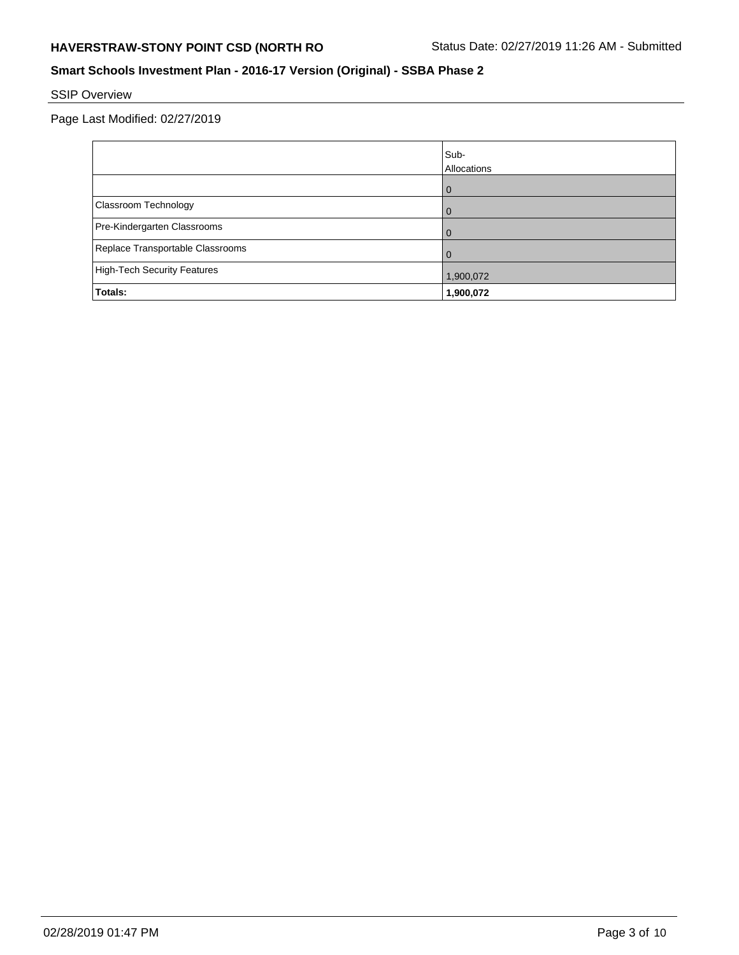## **Smart Schools Investment Plan - 2016-17 Version (Original) - SSBA Phase 2**

# SSIP Overview

|                                  | Sub-<br>Allocations |
|----------------------------------|---------------------|
|                                  | 0                   |
| <b>Classroom Technology</b>      | 0                   |
| Pre-Kindergarten Classrooms      | $\Omega$            |
| Replace Transportable Classrooms | $\Omega$            |
| High-Tech Security Features      | 1,900,072           |
| Totals:                          | 1,900,072           |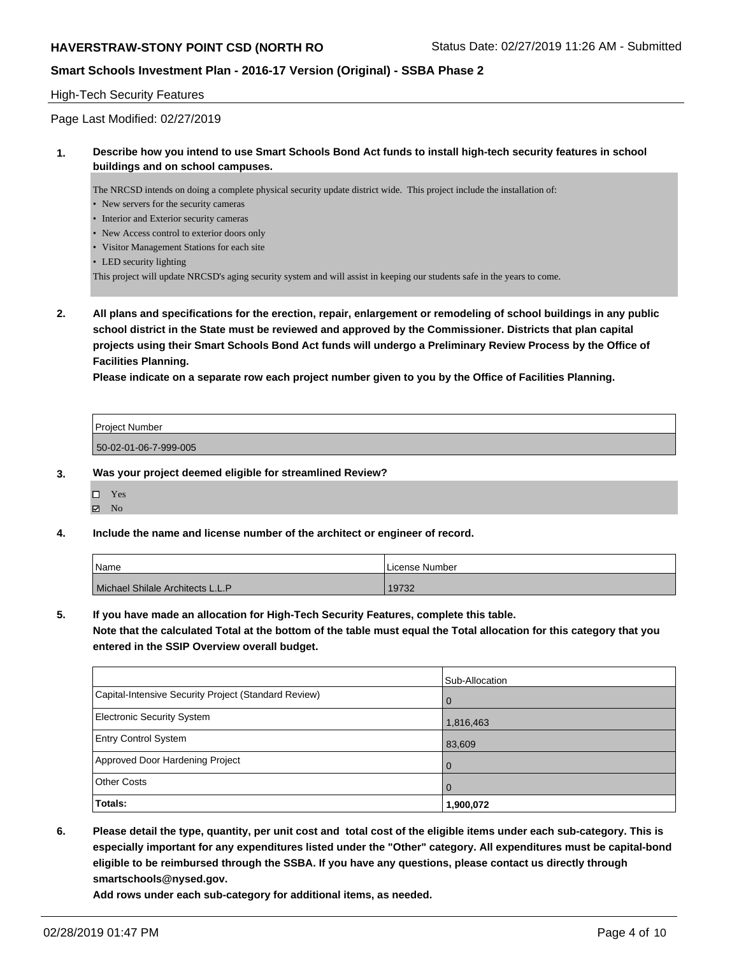### **Smart Schools Investment Plan - 2016-17 Version (Original) - SSBA Phase 2**

### High-Tech Security Features

Page Last Modified: 02/27/2019

### **1. Describe how you intend to use Smart Schools Bond Act funds to install high-tech security features in school buildings and on school campuses.**

The NRCSD intends on doing a complete physical security update district wide. This project include the installation of:

- New servers for the security cameras
- Interior and Exterior security cameras
- New Access control to exterior doors only
- Visitor Management Stations for each site
- LED security lighting

This project will update NRCSD's aging security system and will assist in keeping our students safe in the years to come.

**2. All plans and specifications for the erection, repair, enlargement or remodeling of school buildings in any public school district in the State must be reviewed and approved by the Commissioner. Districts that plan capital projects using their Smart Schools Bond Act funds will undergo a Preliminary Review Process by the Office of Facilities Planning.** 

**Please indicate on a separate row each project number given to you by the Office of Facilities Planning.**

| <b>Project Number</b> |  |
|-----------------------|--|
| 50-02-01-06-7-999-005 |  |

#### **3. Was your project deemed eligible for streamlined Review?**

Yes

 $\boxtimes$  No

#### **4. Include the name and license number of the architect or engineer of record.**

| Name                             | l License Number |
|----------------------------------|------------------|
| Michael Shilale Architects L.L.P | 19732            |

#### **5. If you have made an allocation for High-Tech Security Features, complete this table.**

**Note that the calculated Total at the bottom of the table must equal the Total allocation for this category that you entered in the SSIP Overview overall budget.**

|                                                      | Sub-Allocation |
|------------------------------------------------------|----------------|
| Capital-Intensive Security Project (Standard Review) | l O            |
| <b>Electronic Security System</b>                    | 1,816,463      |
| <b>Entry Control System</b>                          | 83,609         |
| Approved Door Hardening Project                      | $\overline{0}$ |
| <b>Other Costs</b>                                   | l O            |
| Totals:                                              | 1,900,072      |

**6. Please detail the type, quantity, per unit cost and total cost of the eligible items under each sub-category. This is especially important for any expenditures listed under the "Other" category. All expenditures must be capital-bond eligible to be reimbursed through the SSBA. If you have any questions, please contact us directly through smartschools@nysed.gov.**

**Add rows under each sub-category for additional items, as needed.**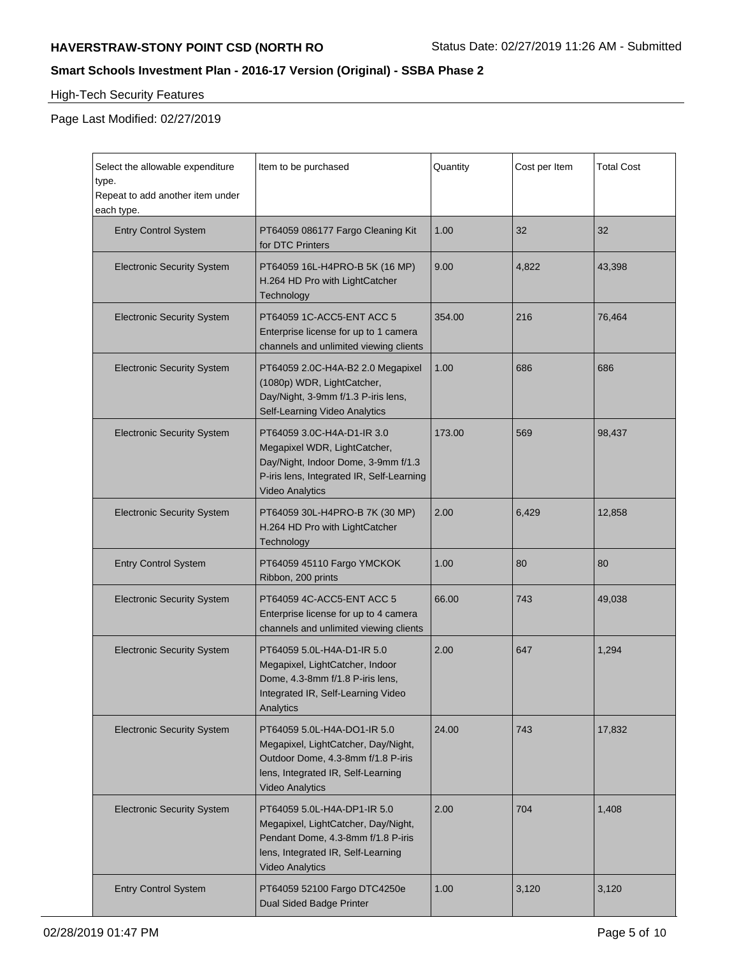# **Smart Schools Investment Plan - 2016-17 Version (Original) - SSBA Phase 2**

# High-Tech Security Features

 $\blacksquare$ 

| Select the allowable expenditure<br>type.<br>Repeat to add another item under<br>each type. | Item to be purchased                                                                                                                                                     | Quantity | Cost per Item | <b>Total Cost</b> |
|---------------------------------------------------------------------------------------------|--------------------------------------------------------------------------------------------------------------------------------------------------------------------------|----------|---------------|-------------------|
| <b>Entry Control System</b>                                                                 | PT64059 086177 Fargo Cleaning Kit<br>for DTC Printers                                                                                                                    | 1.00     | 32            | 32                |
| <b>Electronic Security System</b>                                                           | PT64059 16L-H4PRO-B 5K (16 MP)<br>H.264 HD Pro with LightCatcher<br>Technology                                                                                           | 9.00     | 4,822         | 43,398            |
| <b>Electronic Security System</b>                                                           | PT64059 1C-ACC5-ENT ACC 5<br>Enterprise license for up to 1 camera<br>channels and unlimited viewing clients                                                             | 354.00   | 216           | 76,464            |
| <b>Electronic Security System</b>                                                           | PT64059 2.0C-H4A-B2 2.0 Megapixel<br>(1080p) WDR, LightCatcher,<br>Day/Night, 3-9mm f/1.3 P-iris lens,<br>Self-Learning Video Analytics                                  | 1.00     | 686           | 686               |
| <b>Electronic Security System</b>                                                           | PT64059 3.0C-H4A-D1-IR 3.0<br>Megapixel WDR, LightCatcher,<br>Day/Night, Indoor Dome, 3-9mm f/1.3<br>P-iris lens, Integrated IR, Self-Learning<br><b>Video Analytics</b> | 173.00   | 569           | 98,437            |
| <b>Electronic Security System</b>                                                           | PT64059 30L-H4PRO-B 7K (30 MP)<br>H.264 HD Pro with LightCatcher<br>Technology                                                                                           | 2.00     | 6,429         | 12,858            |
| <b>Entry Control System</b>                                                                 | PT64059 45110 Fargo YMCKOK<br>Ribbon, 200 prints                                                                                                                         | 1.00     | 80            | 80                |
| <b>Electronic Security System</b>                                                           | PT64059 4C-ACC5-ENT ACC 5<br>Enterprise license for up to 4 camera<br>channels and unlimited viewing clients                                                             | 66.00    | 743           | 49,038            |
| <b>Electronic Security System</b>                                                           | PT64059 5.0L-H4A-D1-IR 5.0<br>Megapixel, LightCatcher, Indoor<br>Dome, 4.3-8mm f/1.8 P-iris lens,<br>Integrated IR, Self-Learning Video<br>Analytics                     | 2.00     | 647           | 1,294             |
| <b>Electronic Security System</b>                                                           | PT64059 5.0L-H4A-DO1-IR 5.0<br>Megapixel, LightCatcher, Day/Night,<br>Outdoor Dome, 4.3-8mm f/1.8 P-iris<br>lens, Integrated IR, Self-Learning<br><b>Video Analytics</b> | 24.00    | 743           | 17,832            |
| <b>Electronic Security System</b>                                                           | PT64059 5.0L-H4A-DP1-IR 5.0<br>Megapixel, LightCatcher, Day/Night,<br>Pendant Dome, 4.3-8mm f/1.8 P-iris<br>lens, Integrated IR, Self-Learning<br><b>Video Analytics</b> | 2.00     | 704           | 1,408             |
| <b>Entry Control System</b>                                                                 | PT64059 52100 Fargo DTC4250e<br>Dual Sided Badge Printer                                                                                                                 | 1.00     | 3,120         | 3,120             |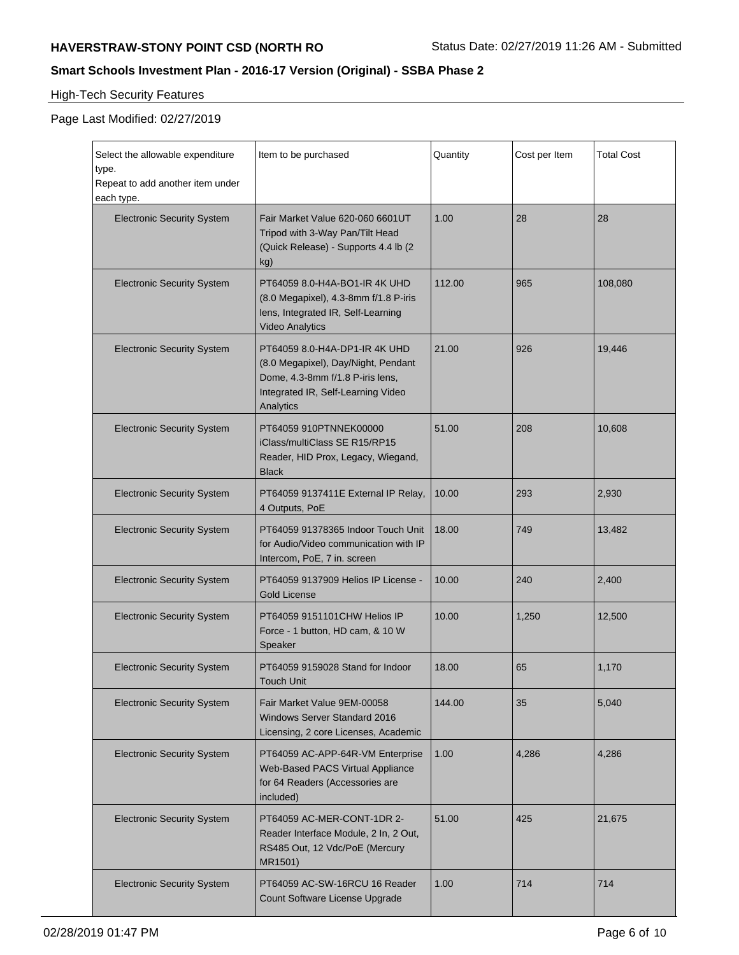## **Smart Schools Investment Plan - 2016-17 Version (Original) - SSBA Phase 2**

# High-Tech Security Features

| Select the allowable expenditure<br>type.<br>Repeat to add another item under<br>each type. | Item to be purchased                                                                                                                                        | Quantity | Cost per Item | <b>Total Cost</b> |
|---------------------------------------------------------------------------------------------|-------------------------------------------------------------------------------------------------------------------------------------------------------------|----------|---------------|-------------------|
| <b>Electronic Security System</b>                                                           | Fair Market Value 620-060 6601UT<br>Tripod with 3-Way Pan/Tilt Head<br>(Quick Release) - Supports 4.4 lb (2<br>kg)                                          | 1.00     | 28            | 28                |
| <b>Electronic Security System</b>                                                           | PT64059 8.0-H4A-BO1-IR 4K UHD<br>(8.0 Megapixel), 4.3-8mm f/1.8 P-iris<br>lens, Integrated IR, Self-Learning<br><b>Video Analytics</b>                      | 112.00   | 965           | 108.080           |
| <b>Electronic Security System</b>                                                           | PT64059 8.0-H4A-DP1-IR 4K UHD<br>(8.0 Megapixel), Day/Night, Pendant<br>Dome, 4.3-8mm f/1.8 P-iris lens,<br>Integrated IR, Self-Learning Video<br>Analytics | 21.00    | 926           | 19,446            |
| <b>Electronic Security System</b>                                                           | PT64059 910PTNNEK00000<br>iClass/multiClass SE R15/RP15<br>Reader, HID Prox, Legacy, Wiegand,<br><b>Black</b>                                               | 51.00    | 208           | 10,608            |
| <b>Electronic Security System</b>                                                           | PT64059 9137411E External IP Relay,<br>4 Outputs, PoE                                                                                                       | 10.00    | 293           | 2,930             |
| <b>Electronic Security System</b>                                                           | PT64059 91378365 Indoor Touch Unit<br>for Audio/Video communication with IP<br>Intercom, PoE, 7 in. screen                                                  | 18.00    | 749           | 13,482            |
| <b>Electronic Security System</b>                                                           | PT64059 9137909 Helios IP License -<br><b>Gold License</b>                                                                                                  | 10.00    | 240           | 2,400             |
| <b>Electronic Security System</b>                                                           | PT64059 9151101 CHW Helios IP<br>Force - 1 button, HD cam, & 10 W<br>Speaker                                                                                | 10.00    | 1,250         | 12,500            |
| <b>Electronic Security System</b>                                                           | PT64059 9159028 Stand for Indoor<br>Touch Unit                                                                                                              | 18.00    | 65            | 1,170             |
| <b>Electronic Security System</b>                                                           | Fair Market Value 9EM-00058<br><b>Windows Server Standard 2016</b><br>Licensing, 2 core Licenses, Academic                                                  | 144.00   | 35            | 5,040             |
| <b>Electronic Security System</b>                                                           | PT64059 AC-APP-64R-VM Enterprise<br>Web-Based PACS Virtual Appliance<br>for 64 Readers (Accessories are<br>included)                                        | 1.00     | 4,286         | 4,286             |
| <b>Electronic Security System</b>                                                           | PT64059 AC-MER-CONT-1DR 2-<br>Reader Interface Module, 2 In, 2 Out,<br>RS485 Out, 12 Vdc/PoE (Mercury<br>MR1501)                                            | 51.00    | 425           | 21,675            |
| <b>Electronic Security System</b>                                                           | PT64059 AC-SW-16RCU 16 Reader<br>Count Software License Upgrade                                                                                             | 1.00     | 714           | 714               |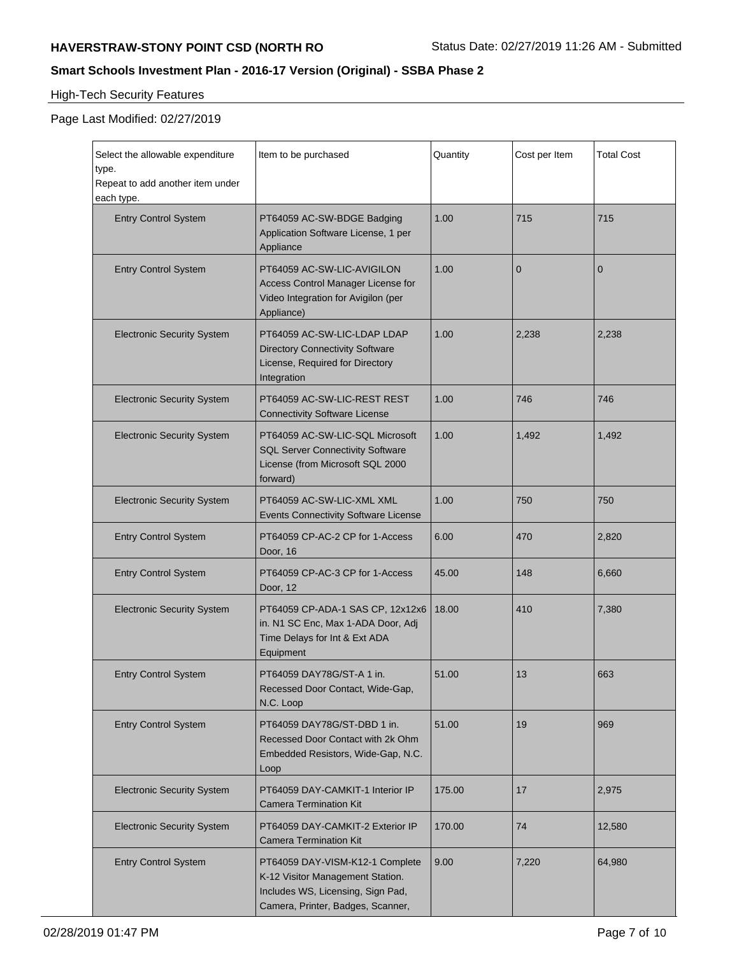## **Smart Schools Investment Plan - 2016-17 Version (Original) - SSBA Phase 2**

# High-Tech Security Features

| Select the allowable expenditure<br>type.<br>Repeat to add another item under<br>each type. | Item to be purchased                                                                                                                          | Quantity | Cost per Item  | <b>Total Cost</b> |
|---------------------------------------------------------------------------------------------|-----------------------------------------------------------------------------------------------------------------------------------------------|----------|----------------|-------------------|
| <b>Entry Control System</b>                                                                 | PT64059 AC-SW-BDGE Badging<br>Application Software License, 1 per<br>Appliance                                                                | 1.00     | 715            | 715               |
| <b>Entry Control System</b>                                                                 | PT64059 AC-SW-LIC-AVIGILON<br>Access Control Manager License for<br>Video Integration for Avigilon (per<br>Appliance)                         | 1.00     | $\overline{0}$ | $\overline{0}$    |
| <b>Electronic Security System</b>                                                           | PT64059 AC-SW-LIC-LDAP LDAP<br><b>Directory Connectivity Software</b><br>License, Required for Directory<br>Integration                       | 1.00     | 2,238          | 2,238             |
| <b>Electronic Security System</b>                                                           | PT64059 AC-SW-LIC-REST REST<br><b>Connectivity Software License</b>                                                                           | 1.00     | 746            | 746               |
| <b>Electronic Security System</b>                                                           | PT64059 AC-SW-LIC-SQL Microsoft<br><b>SQL Server Connectivity Software</b><br>License (from Microsoft SQL 2000<br>forward)                    | 1.00     | 1,492          | 1,492             |
| <b>Electronic Security System</b>                                                           | PT64059 AC-SW-LIC-XML XML<br><b>Events Connectivity Software License</b>                                                                      | 1.00     | 750            | 750               |
| <b>Entry Control System</b>                                                                 | PT64059 CP-AC-2 CP for 1-Access<br>Door, 16                                                                                                   | 6.00     | 470            | 2,820             |
| <b>Entry Control System</b>                                                                 | PT64059 CP-AC-3 CP for 1-Access<br>Door, 12                                                                                                   | 45.00    | 148            | 6,660             |
| <b>Electronic Security System</b>                                                           | PT64059 CP-ADA-1 SAS CP, 12x12x6<br>in. N1 SC Enc, Max 1-ADA Door, Adj<br>Time Delays for Int & Ext ADA<br>Equipment                          | 18.00    | 410            | 7,380             |
| <b>Entry Control System</b>                                                                 | PT64059 DAY78G/ST-A 1 in.<br>Recessed Door Contact, Wide-Gap,<br>N.C. Loop                                                                    | 51.00    | 13             | 663               |
| <b>Entry Control System</b>                                                                 | PT64059 DAY78G/ST-DBD 1 in.<br>Recessed Door Contact with 2k Ohm<br>Embedded Resistors, Wide-Gap, N.C.<br>Loop                                | 51.00    | 19             | 969               |
| <b>Electronic Security System</b>                                                           | PT64059 DAY-CAMKIT-1 Interior IP<br>Camera Termination Kit                                                                                    | 175.00   | 17             | 2,975             |
| <b>Electronic Security System</b>                                                           | PT64059 DAY-CAMKIT-2 Exterior IP<br>Camera Termination Kit                                                                                    | 170.00   | 74             | 12,580            |
| <b>Entry Control System</b>                                                                 | PT64059 DAY-VISM-K12-1 Complete<br>K-12 Visitor Management Station.<br>Includes WS, Licensing, Sign Pad,<br>Camera, Printer, Badges, Scanner, | 9.00     | 7,220          | 64,980            |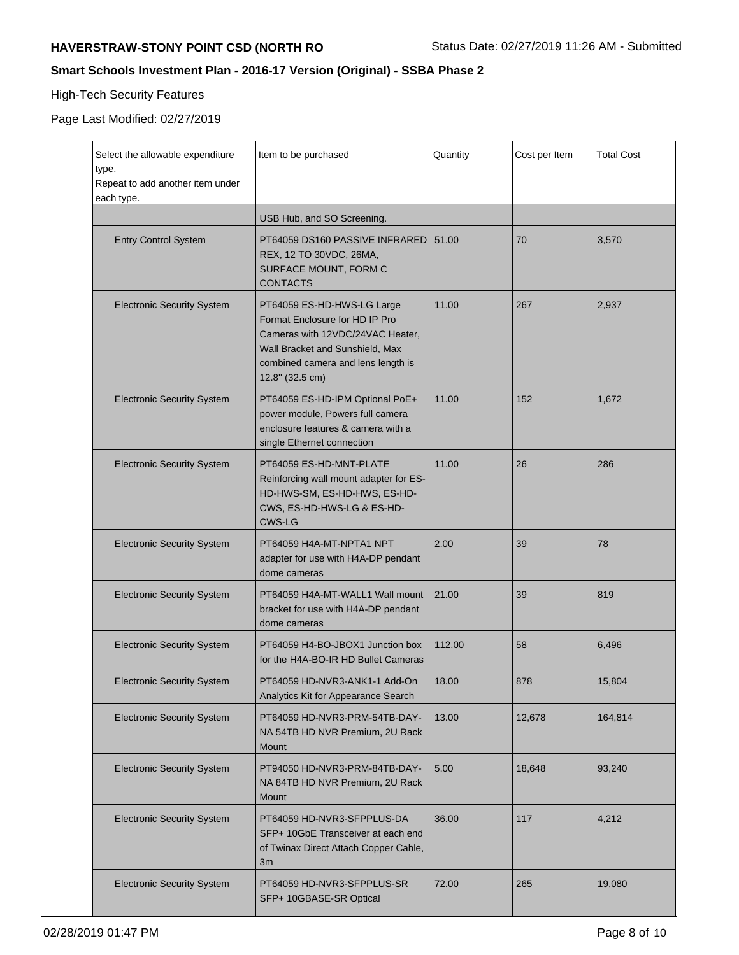## **Smart Schools Investment Plan - 2016-17 Version (Original) - SSBA Phase 2**

# High-Tech Security Features

| Select the allowable expenditure<br>type.<br>Repeat to add another item under<br>each type. | Item to be purchased                                                                                                                                                                         | Quantity | Cost per Item | <b>Total Cost</b> |
|---------------------------------------------------------------------------------------------|----------------------------------------------------------------------------------------------------------------------------------------------------------------------------------------------|----------|---------------|-------------------|
|                                                                                             | USB Hub, and SO Screening.                                                                                                                                                                   |          |               |                   |
| <b>Entry Control System</b>                                                                 | PT64059 DS160 PASSIVE INFRARED<br>REX, 12 TO 30VDC, 26MA,<br>SURFACE MOUNT, FORM C<br><b>CONTACTS</b>                                                                                        | 51.00    | 70            | 3,570             |
| <b>Electronic Security System</b>                                                           | PT64059 ES-HD-HWS-LG Large<br>Format Enclosure for HD IP Pro<br>Cameras with 12VDC/24VAC Heater,<br>Wall Bracket and Sunshield, Max<br>combined camera and lens length is<br>12.8" (32.5 cm) | 11.00    | 267           | 2,937             |
| <b>Electronic Security System</b>                                                           | PT64059 ES-HD-IPM Optional PoE+<br>power module, Powers full camera<br>enclosure features & camera with a<br>single Ethernet connection                                                      | 11.00    | 152           | 1,672             |
| <b>Electronic Security System</b>                                                           | PT64059 ES-HD-MNT-PLATE<br>Reinforcing wall mount adapter for ES-<br>HD-HWS-SM, ES-HD-HWS, ES-HD-<br>CWS, ES-HD-HWS-LG & ES-HD-<br><b>CWS-LG</b>                                             | 11.00    | 26            | 286               |
| <b>Electronic Security System</b>                                                           | PT64059 H4A-MT-NPTA1 NPT<br>adapter for use with H4A-DP pendant<br>dome cameras                                                                                                              | 2.00     | 39            | 78                |
| <b>Electronic Security System</b>                                                           | PT64059 H4A-MT-WALL1 Wall mount<br>bracket for use with H4A-DP pendant<br>dome cameras                                                                                                       | 21.00    | 39            | 819               |
| <b>Electronic Security System</b>                                                           | PT64059 H4-BO-JBOX1 Junction box<br>for the H4A-BO-IR HD Bullet Cameras                                                                                                                      | 112.00   | 58            | 6,496             |
| <b>Electronic Security System</b>                                                           | PT64059 HD-NVR3-ANK1-1 Add-On<br>Analytics Kit for Appearance Search                                                                                                                         | 18.00    | 878           | 15,804            |
| <b>Electronic Security System</b>                                                           | PT64059 HD-NVR3-PRM-54TB-DAY-<br>NA 54TB HD NVR Premium, 2U Rack<br>Mount                                                                                                                    | 13.00    | 12,678        | 164,814           |
| <b>Electronic Security System</b>                                                           | PT94050 HD-NVR3-PRM-84TB-DAY-<br>NA 84TB HD NVR Premium, 2U Rack<br>Mount                                                                                                                    | 5.00     | 18,648        | 93,240            |
| <b>Electronic Security System</b>                                                           | PT64059 HD-NVR3-SFPPLUS-DA<br>SFP+ 10GbE Transceiver at each end<br>of Twinax Direct Attach Copper Cable,<br>3m                                                                              | 36.00    | 117           | 4,212             |
| <b>Electronic Security System</b>                                                           | PT64059 HD-NVR3-SFPPLUS-SR<br>SFP+ 10GBASE-SR Optical                                                                                                                                        | 72.00    | 265           | 19,080            |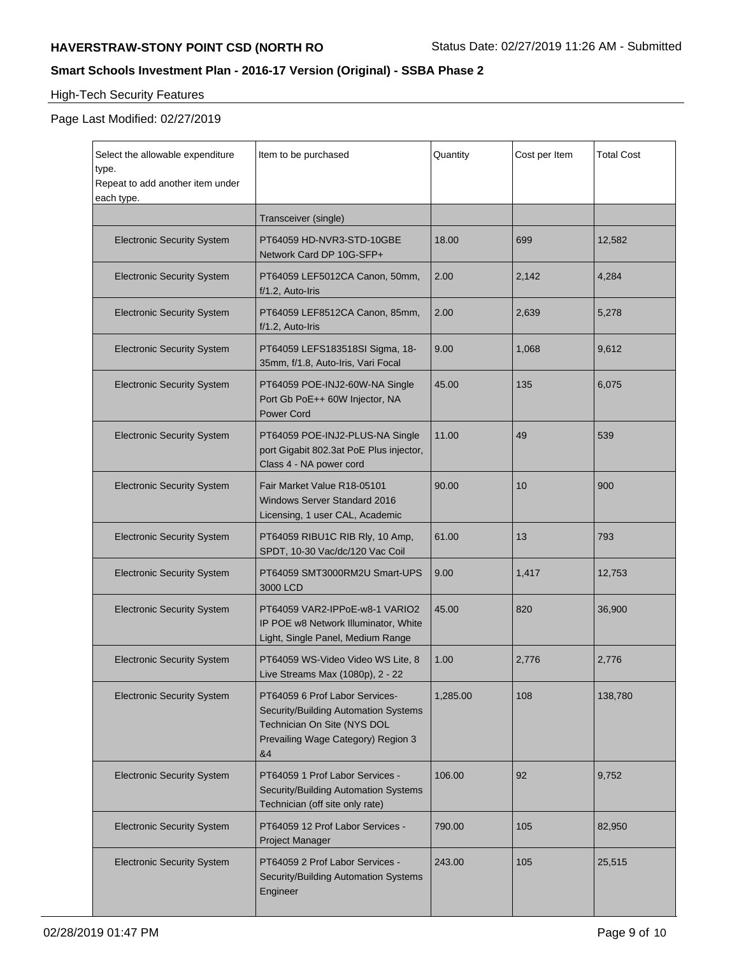## **Smart Schools Investment Plan - 2016-17 Version (Original) - SSBA Phase 2**

# High-Tech Security Features

| Select the allowable expenditure<br>type.<br>Repeat to add another item under<br>each type. | Item to be purchased                                                                                                                              | Quantity | Cost per Item | <b>Total Cost</b> |
|---------------------------------------------------------------------------------------------|---------------------------------------------------------------------------------------------------------------------------------------------------|----------|---------------|-------------------|
|                                                                                             | Transceiver (single)                                                                                                                              |          |               |                   |
| <b>Electronic Security System</b>                                                           | PT64059 HD-NVR3-STD-10GBE<br>Network Card DP 10G-SFP+                                                                                             | 18.00    | 699           | 12,582            |
| <b>Electronic Security System</b>                                                           | PT64059 LEF5012CA Canon, 50mm,<br>f/1.2, Auto-Iris                                                                                                | 2.00     | 2,142         | 4,284             |
| <b>Electronic Security System</b>                                                           | PT64059 LEF8512CA Canon, 85mm,<br>f/1.2, Auto-Iris                                                                                                | 2.00     | 2,639         | 5,278             |
| <b>Electronic Security System</b>                                                           | PT64059 LEFS183518SI Sigma, 18-<br>35mm, f/1.8, Auto-Iris, Vari Focal                                                                             | 9.00     | 1,068         | 9,612             |
| <b>Electronic Security System</b>                                                           | PT64059 POE-INJ2-60W-NA Single<br>Port Gb PoE++ 60W Injector, NA<br><b>Power Cord</b>                                                             | 45.00    | 135           | 6,075             |
| <b>Electronic Security System</b>                                                           | PT64059 POE-INJ2-PLUS-NA Single<br>port Gigabit 802.3at PoE Plus injector,<br>Class 4 - NA power cord                                             | 11.00    | 49            | 539               |
| <b>Electronic Security System</b>                                                           | Fair Market Value R18-05101<br><b>Windows Server Standard 2016</b><br>Licensing, 1 user CAL, Academic                                             | 90.00    | 10            | 900               |
| <b>Electronic Security System</b>                                                           | PT64059 RIBU1C RIB Rly, 10 Amp,<br>SPDT, 10-30 Vac/dc/120 Vac Coil                                                                                | 61.00    | 13            | 793               |
| <b>Electronic Security System</b>                                                           | PT64059 SMT3000RM2U Smart-UPS<br>3000 LCD                                                                                                         | 9.00     | 1,417         | 12,753            |
| <b>Electronic Security System</b>                                                           | PT64059 VAR2-IPPoE-w8-1 VARIO2<br>IP POE w8 Network Illuminator, White<br>Light, Single Panel, Medium Range                                       | 45.00    | 820           | 36,900            |
| <b>Electronic Security System</b>                                                           | PT64059 WS-Video Video WS Lite, 8<br>Live Streams Max (1080p), 2 - 22                                                                             | 1.00     | 2,776         | 2,776             |
| <b>Electronic Security System</b>                                                           | PT64059 6 Prof Labor Services-<br>Security/Building Automation Systems<br>Technician On Site (NYS DOL<br>Prevailing Wage Category) Region 3<br>&4 | 1,285.00 | 108           | 138,780           |
| <b>Electronic Security System</b>                                                           | PT64059 1 Prof Labor Services -<br>Security/Building Automation Systems<br>Technician (off site only rate)                                        | 106.00   | 92            | 9,752             |
| <b>Electronic Security System</b>                                                           | PT64059 12 Prof Labor Services -<br><b>Project Manager</b>                                                                                        | 790.00   | 105           | 82,950            |
| <b>Electronic Security System</b>                                                           | PT64059 2 Prof Labor Services -<br>Security/Building Automation Systems<br>Engineer                                                               | 243.00   | 105           | 25,515            |